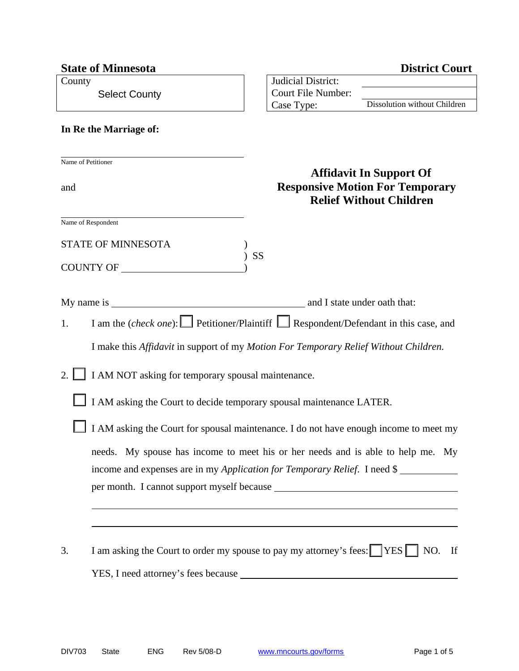|                           | <b>State of Minnesota</b>                                                                                                                                    |                                                               | <b>District Court</b>                                                                                      |  |  |  |  |
|---------------------------|--------------------------------------------------------------------------------------------------------------------------------------------------------------|---------------------------------------------------------------|------------------------------------------------------------------------------------------------------------|--|--|--|--|
| County                    | <b>Select County</b>                                                                                                                                         | Judicial District:<br><b>Court File Number:</b><br>Case Type: | Dissolution without Children                                                                               |  |  |  |  |
|                           | In Re the Marriage of:                                                                                                                                       |                                                               |                                                                                                            |  |  |  |  |
| Name of Petitioner<br>and |                                                                                                                                                              |                                                               | <b>Affidavit In Support Of</b><br><b>Responsive Motion For Temporary</b><br><b>Relief Without Children</b> |  |  |  |  |
| Name of Respondent        | <b>STATE OF MINNESOTA</b><br>COUNTY OF                                                                                                                       | SS                                                            |                                                                                                            |  |  |  |  |
|                           |                                                                                                                                                              |                                                               | and I state under oath that:                                                                               |  |  |  |  |
| 1.                        | I am the (check one): Petitioner/Plaintiff Respondent/Defendant in this case, and                                                                            |                                                               |                                                                                                            |  |  |  |  |
|                           | I make this <i>Affidavit</i> in support of my <i>Motion For Temporary Relief Without Children.</i>                                                           |                                                               |                                                                                                            |  |  |  |  |
| 2.1                       | I AM NOT asking for temporary spousal maintenance.                                                                                                           |                                                               |                                                                                                            |  |  |  |  |
|                           | I AM asking the Court to decide temporary spousal maintenance LATER.                                                                                         |                                                               |                                                                                                            |  |  |  |  |
|                           | I AM asking the Court for spousal maintenance. I do not have enough income to meet my                                                                        |                                                               |                                                                                                            |  |  |  |  |
|                           | needs. My spouse has income to meet his or her needs and is able to help me. My<br>income and expenses are in my Application for Temporary Relief. I need \$ |                                                               |                                                                                                            |  |  |  |  |
|                           |                                                                                                                                                              |                                                               |                                                                                                            |  |  |  |  |
| 3.                        | I am asking the Court to order my spouse to pay my attorney's fees: [YES I NO. If                                                                            |                                                               |                                                                                                            |  |  |  |  |
|                           |                                                                                                                                                              |                                                               |                                                                                                            |  |  |  |  |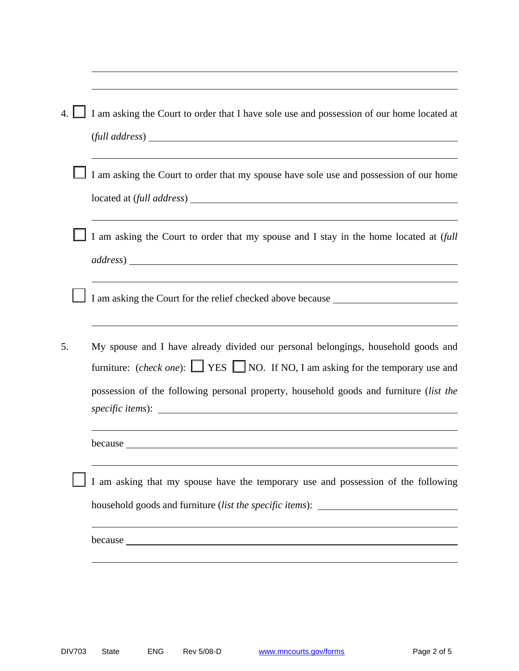|    | I am asking the Court to order that I have sole use and possession of our home located at                                                                                                                                                                                                                                                                                                                                                                                                                   |  |  |  |
|----|-------------------------------------------------------------------------------------------------------------------------------------------------------------------------------------------------------------------------------------------------------------------------------------------------------------------------------------------------------------------------------------------------------------------------------------------------------------------------------------------------------------|--|--|--|
|    | $\left(\text{full address}\right)$                                                                                                                                                                                                                                                                                                                                                                                                                                                                          |  |  |  |
|    | I am asking the Court to order that my spouse have sole use and possession of our home                                                                                                                                                                                                                                                                                                                                                                                                                      |  |  |  |
|    | I am asking the Court to order that my spouse and I stay in the home located at (full                                                                                                                                                                                                                                                                                                                                                                                                                       |  |  |  |
|    | I am asking the Court for the relief checked above because _____________________                                                                                                                                                                                                                                                                                                                                                                                                                            |  |  |  |
| 5. | My spouse and I have already divided our personal belongings, household goods and<br>furniture: (check one): $\Box$ YES $\Box$ NO. If NO, I am asking for the temporary use and<br>possession of the following personal property, household goods and furniture (list the<br>specific items): Specific items and the specific items of the specific items of the specific items of the specific items of the specific items of the specific items of the specific items of the specific items of the specif |  |  |  |
|    | because <u>experience</u> and the cause of the cause of the cause of the cause of the cause of the cause of the cause of the cause of the cause of the cause of the cause of the cause of the cause of the cause of the cause of th                                                                                                                                                                                                                                                                         |  |  |  |
|    | I am asking that my spouse have the temporary use and possession of the following<br>household goods and furniture (list the specific items): ________________________                                                                                                                                                                                                                                                                                                                                      |  |  |  |
|    |                                                                                                                                                                                                                                                                                                                                                                                                                                                                                                             |  |  |  |
|    |                                                                                                                                                                                                                                                                                                                                                                                                                                                                                                             |  |  |  |

 $\overline{a}$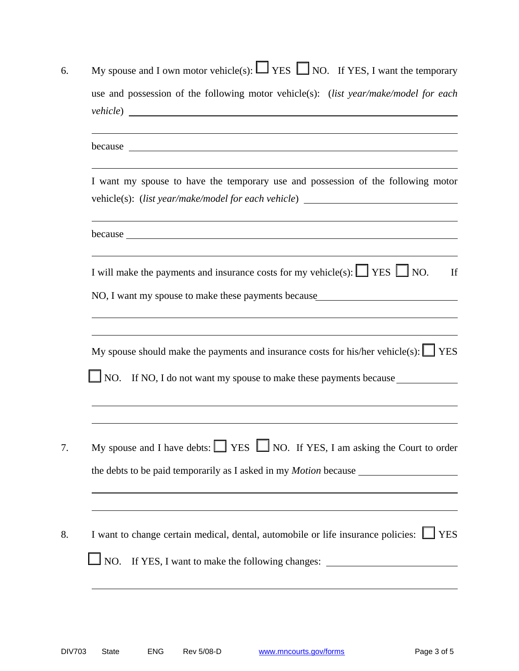|  | My spouse and I own motor vehicle(s): $\Box$ YES $\Box$ NO. If YES, I want the temporary                                                                                                                                                               |  |  |  |
|--|--------------------------------------------------------------------------------------------------------------------------------------------------------------------------------------------------------------------------------------------------------|--|--|--|
|  | use and possession of the following motor vehicle(s): (list year/make/model for each                                                                                                                                                                   |  |  |  |
|  | because <u>example and the second contract of the second contract of the second contract of the second contract of the second contract of the second contract of the second contract of the second contract of the second contra</u>                   |  |  |  |
|  | I want my spouse to have the temporary use and possession of the following motor<br>vehicle(s): (list year/make/model for each vehicle) ____________________________                                                                                   |  |  |  |
|  | <u> 1989 - Johann Stein, Amerikaansk politiker (* 1958)</u>                                                                                                                                                                                            |  |  |  |
|  | I will make the payments and insurance costs for my vehicle(s): $\Box$ YES $\Box$ NO.<br>NO, I want my spouse to make these payments because                                                                                                           |  |  |  |
|  |                                                                                                                                                                                                                                                        |  |  |  |
|  | $\Box$ NO.                                                                                                                                                                                                                                             |  |  |  |
|  | My spouse should make the payments and insurance costs for his/her vehicle(s): $\Box$ YES<br>If NO, I do not want my spouse to make these payments because<br>My spouse and I have debts: $\Box$ YES $\Box$ NO. If YES, I am asking the Court to order |  |  |  |
|  | I want to change certain medical, dental, automobile or life insurance policies: $\Box$ YES                                                                                                                                                            |  |  |  |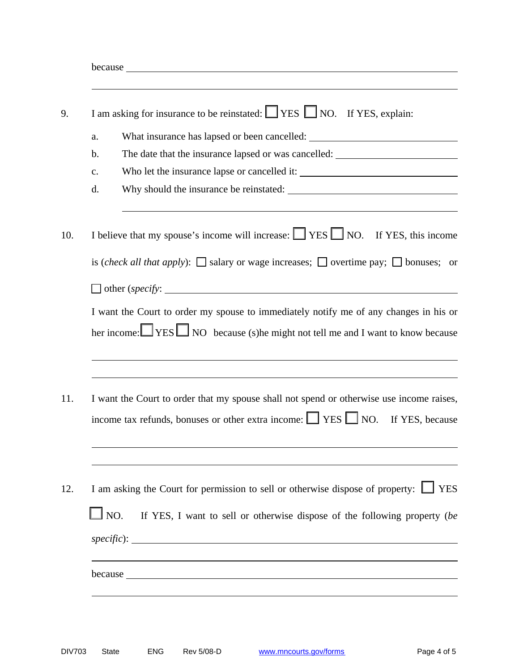| I am asking for insurance to be reinstated: $\Box$ YES $\Box$ NO. If YES, explain: |                                                                                                                                                                                         |  |
|------------------------------------------------------------------------------------|-----------------------------------------------------------------------------------------------------------------------------------------------------------------------------------------|--|
| a.                                                                                 | What insurance has lapsed or been cancelled: ___________________________________                                                                                                        |  |
| b.                                                                                 | The date that the insurance lapsed or was cancelled: ____________________________                                                                                                       |  |
| c.                                                                                 |                                                                                                                                                                                         |  |
| d.                                                                                 |                                                                                                                                                                                         |  |
|                                                                                    | I believe that my spouse's income will increase: $\Box$ YES $\Box$ NO. If YES, this income                                                                                              |  |
|                                                                                    | is <i>(check all that apply)</i> : $\Box$ salary or wage increases; $\Box$ overtime pay; $\Box$ bonuses; or                                                                             |  |
|                                                                                    | $\Box$ other (specify: $\Box$ )                                                                                                                                                         |  |
|                                                                                    | I want the Court to order my spouse to immediately notify me of any changes in his or<br>her income: $\Box$ YES $\Box$ NO because (s) he might not tell me and I want to know because   |  |
|                                                                                    |                                                                                                                                                                                         |  |
|                                                                                    | I want the Court to order that my spouse shall not spend or otherwise use income raises,<br>income tax refunds, bonuses or other extra income: $\Box$ YES $\Box$ NO.<br>If YES, because |  |
| $\Box$ NO.                                                                         | I am asking the Court for permission to sell or otherwise dispose of property: $\Box$ YES<br>If YES, I want to sell or otherwise dispose of the following property (be)                 |  |
|                                                                                    |                                                                                                                                                                                         |  |